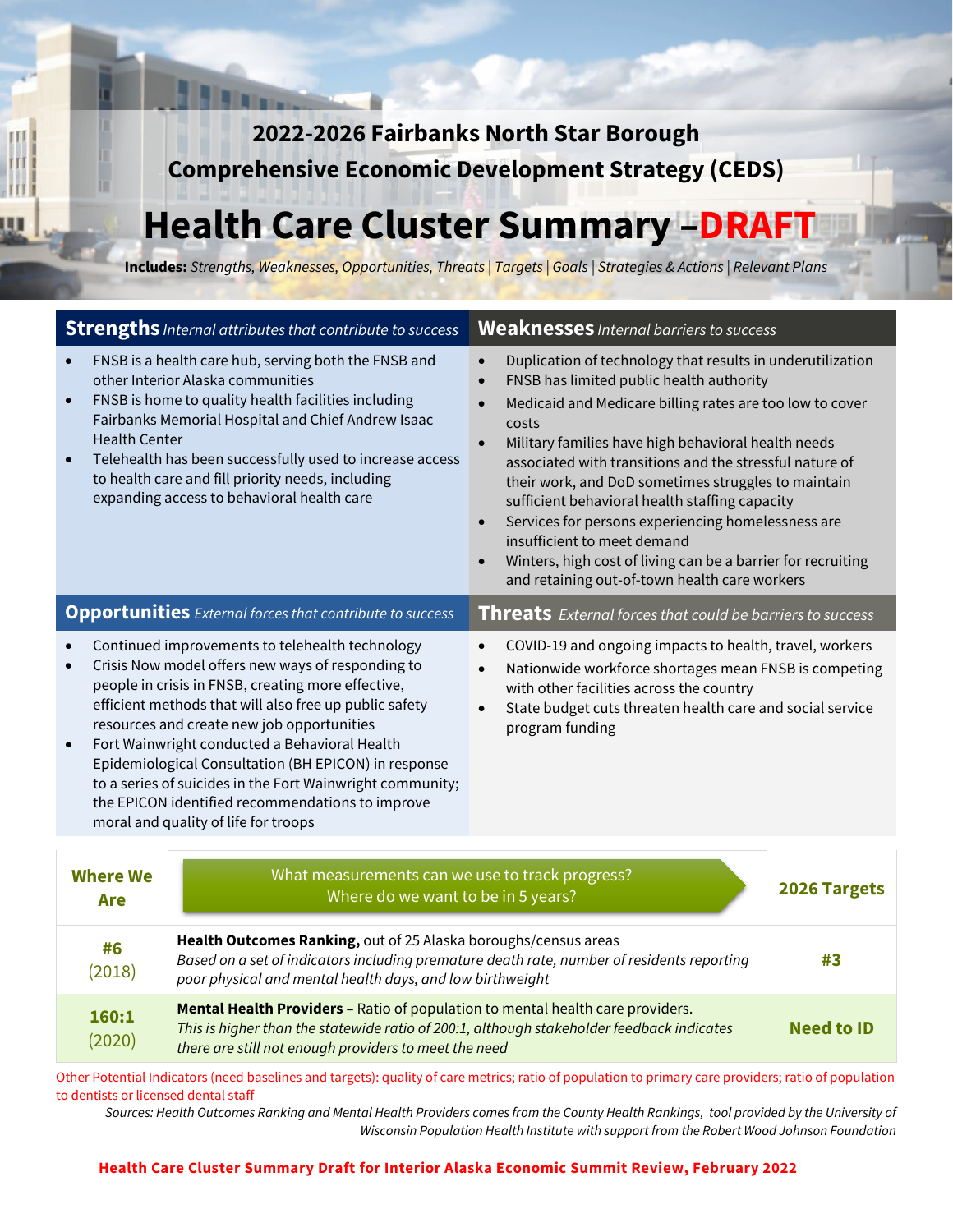**2022-2026 Fairbanks North Star Borough Comprehensive Economic Development Strategy (CEDS)** 

# **Health Care Cluster Summary –DRAFT**

**Includes:** *Strengths, Weaknesses, Opportunities, Threats | Targets | Goals | Strategies & Actions | Relevant Plans*

| <b>Strengths</b> Internal attributes that contribute to success                                                                                                                                                                                                                                                                                                                                                                                                                                                                                                             | <b>Weaknesses</b> Internal barriers to success                                                                                                                                                                                                                                                                                                                                                                                                                                                                                                                                                                                                                   |  |  |
|-----------------------------------------------------------------------------------------------------------------------------------------------------------------------------------------------------------------------------------------------------------------------------------------------------------------------------------------------------------------------------------------------------------------------------------------------------------------------------------------------------------------------------------------------------------------------------|------------------------------------------------------------------------------------------------------------------------------------------------------------------------------------------------------------------------------------------------------------------------------------------------------------------------------------------------------------------------------------------------------------------------------------------------------------------------------------------------------------------------------------------------------------------------------------------------------------------------------------------------------------------|--|--|
| FNSB is a health care hub, serving both the FNSB and<br>$\bullet$<br>other Interior Alaska communities<br>FNSB is home to quality health facilities including<br>$\bullet$<br>Fairbanks Memorial Hospital and Chief Andrew Isaac<br><b>Health Center</b><br>Telehealth has been successfully used to increase access<br>$\bullet$<br>to health care and fill priority needs, including<br>expanding access to behavioral health care                                                                                                                                        | Duplication of technology that results in underutilization<br>$\bullet$<br>FNSB has limited public health authority<br>$\bullet$<br>Medicaid and Medicare billing rates are too low to cover<br>costs<br>Military families have high behavioral health needs<br>$\bullet$<br>associated with transitions and the stressful nature of<br>their work, and DoD sometimes struggles to maintain<br>sufficient behavioral health staffing capacity<br>Services for persons experiencing homelessness are<br>$\bullet$<br>insufficient to meet demand<br>Winters, high cost of living can be a barrier for recruiting<br>and retaining out-of-town health care workers |  |  |
| <b>Opportunities</b> External forces that contribute to success                                                                                                                                                                                                                                                                                                                                                                                                                                                                                                             | <b>Threats</b> External forces that could be barriers to success                                                                                                                                                                                                                                                                                                                                                                                                                                                                                                                                                                                                 |  |  |
| Continued improvements to telehealth technology<br>$\bullet$<br>Crisis Now model offers new ways of responding to<br>$\bullet$<br>people in crisis in FNSB, creating more effective,<br>efficient methods that will also free up public safety<br>resources and create new job opportunities<br>Fort Wainwright conducted a Behavioral Health<br>$\bullet$<br>Epidemiological Consultation (BH EPICON) in response<br>to a series of suicides in the Fort Wainwright community;<br>the EPICON identified recommendations to improve<br>moral and quality of life for troops | COVID-19 and ongoing impacts to health, travel, workers<br>$\bullet$<br>Nationwide workforce shortages mean FNSB is competing<br>$\bullet$<br>with other facilities across the country<br>State budget cuts threaten health care and social service<br>$\bullet$<br>program funding                                                                                                                                                                                                                                                                                                                                                                              |  |  |
| What measurements can we use to track progress?<br><b>Where We</b><br>2026 Targets<br>Where do we want to be in 5 years?<br>Are                                                                                                                                                                                                                                                                                                                                                                                                                                             |                                                                                                                                                                                                                                                                                                                                                                                                                                                                                                                                                                                                                                                                  |  |  |

| #6<br>(2018)    | Health Outcomes Ranking, out of 25 Alaska boroughs/census areas<br>Based on a set of indicators including premature death rate, number of residents reporting<br>poor physical and mental health days, and low birthweight                  | #3                |
|-----------------|---------------------------------------------------------------------------------------------------------------------------------------------------------------------------------------------------------------------------------------------|-------------------|
| 160:1<br>(2020) | <b>Mental Health Providers - Ratio of population to mental health care providers.</b><br>This is higher than the statewide ratio of 200:1, although stakeholder feedback indicates<br>there are still not enough providers to meet the need | <b>Need to ID</b> |

Other Potential Indicators (need baselines and targets): quality of care metrics; ratio of population to primary care providers; ratio of population to dentists or licensed dental staff

*Sources: Health Outcomes Ranking and Mental Health Providers comes from the County Health Rankings, tool provided by the University of Wisconsin Population Health Institute with support from the Robert Wood Johnson Foundation*

#### **Health Care Cluster Summary Draft for Interior Alaska Economic Summit Review, February 2022**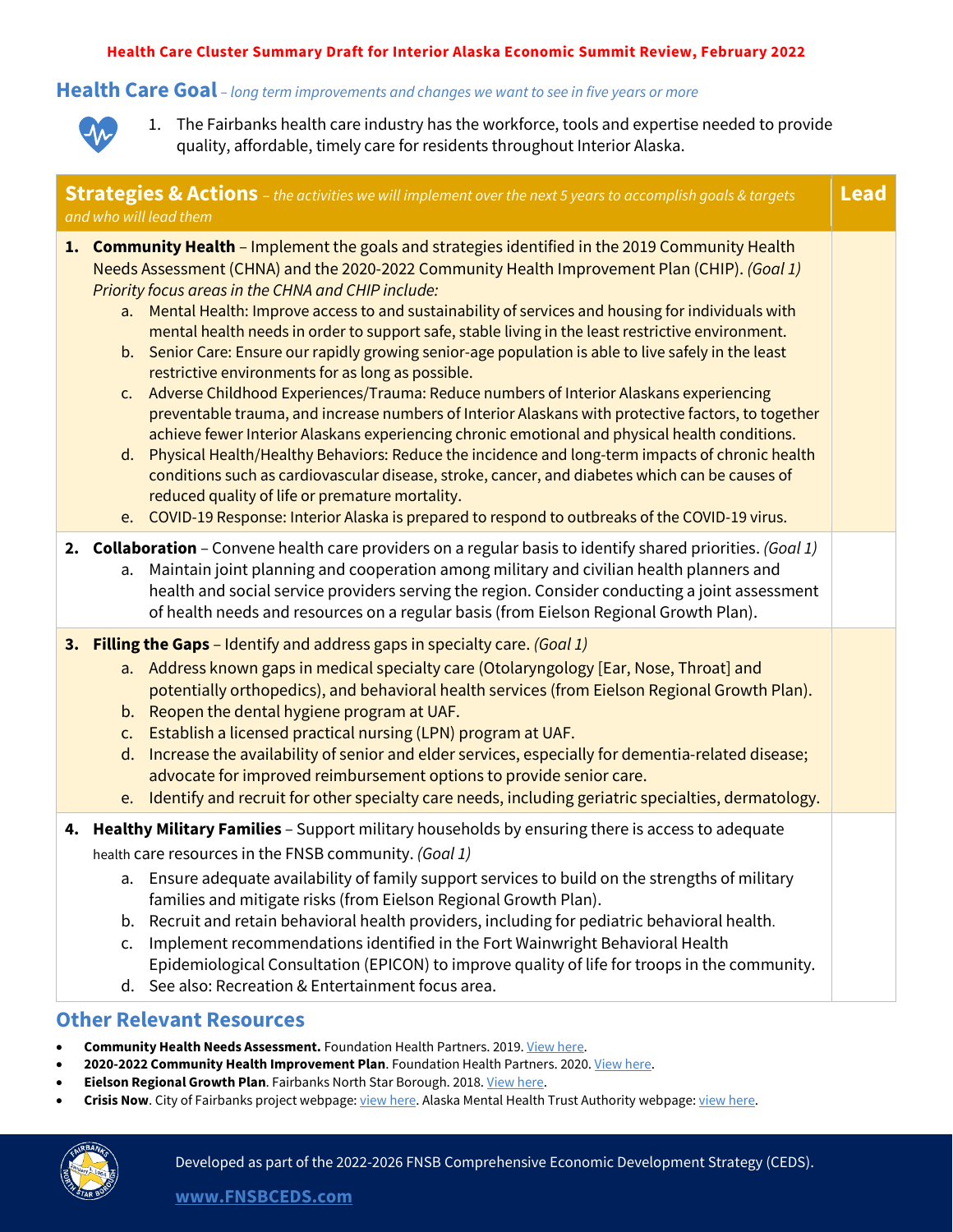#### **Health Care Cluster Summary Draft for Interior Alaska Economic Summit Review, February 2022**

#### **Health Care Goal** *– long term improvements and changes we want to see in five years or more*



1. The Fairbanks health care industry has the workforce, tools and expertise needed to provide quality, affordable, timely care for residents throughout Interior Alaska.

| <b>Strategies &amp; Actions</b> - the activities we will implement over the next 5 years to accomplish goals & targets<br><b>Lead</b><br>and who will lead them |                                                                                                                                                                                                                                                                                                                                                                                                                                                                                                                                                                                                                                                                                                                                                                                                                                                                                                                                                                                                                                                                                                                                                                                                                                                                                                                       |  |
|-----------------------------------------------------------------------------------------------------------------------------------------------------------------|-----------------------------------------------------------------------------------------------------------------------------------------------------------------------------------------------------------------------------------------------------------------------------------------------------------------------------------------------------------------------------------------------------------------------------------------------------------------------------------------------------------------------------------------------------------------------------------------------------------------------------------------------------------------------------------------------------------------------------------------------------------------------------------------------------------------------------------------------------------------------------------------------------------------------------------------------------------------------------------------------------------------------------------------------------------------------------------------------------------------------------------------------------------------------------------------------------------------------------------------------------------------------------------------------------------------------|--|
|                                                                                                                                                                 | 1. Community Health - Implement the goals and strategies identified in the 2019 Community Health<br>Needs Assessment (CHNA) and the 2020-2022 Community Health Improvement Plan (CHIP). (Goal 1)<br>Priority focus areas in the CHNA and CHIP include:<br>a. Mental Health: Improve access to and sustainability of services and housing for individuals with<br>mental health needs in order to support safe, stable living in the least restrictive environment.<br>b. Senior Care: Ensure our rapidly growing senior-age population is able to live safely in the least<br>restrictive environments for as long as possible.<br>Adverse Childhood Experiences/Trauma: Reduce numbers of Interior Alaskans experiencing<br>C <sub>1</sub><br>preventable trauma, and increase numbers of Interior Alaskans with protective factors, to together<br>achieve fewer Interior Alaskans experiencing chronic emotional and physical health conditions.<br>Physical Health/Healthy Behaviors: Reduce the incidence and long-term impacts of chronic health<br>d.<br>conditions such as cardiovascular disease, stroke, cancer, and diabetes which can be causes of<br>reduced quality of life or premature mortality.<br>e. COVID-19 Response: Interior Alaska is prepared to respond to outbreaks of the COVID-19 virus. |  |
|                                                                                                                                                                 | 2. Collaboration - Convene health care providers on a regular basis to identify shared priorities. (Goal 1)<br>Maintain joint planning and cooperation among military and civilian health planners and<br>a.<br>health and social service providers serving the region. Consider conducting a joint assessment<br>of health needs and resources on a regular basis (from Eielson Regional Growth Plan).                                                                                                                                                                                                                                                                                                                                                                                                                                                                                                                                                                                                                                                                                                                                                                                                                                                                                                               |  |
|                                                                                                                                                                 | 3. Filling the Gaps - Identify and address gaps in specialty care. (Goal 1)<br>a. Address known gaps in medical specialty care (Otolaryngology [Ear, Nose, Throat] and<br>potentially orthopedics), and behavioral health services (from Eielson Regional Growth Plan).<br>b. Reopen the dental hygiene program at UAF.<br>Establish a licensed practical nursing (LPN) program at UAF.<br>c.<br>Increase the availability of senior and elder services, especially for dementia-related disease;<br>d.<br>advocate for improved reimbursement options to provide senior care.<br>e. Identify and recruit for other specialty care needs, including geriatric specialties, dermatology.                                                                                                                                                                                                                                                                                                                                                                                                                                                                                                                                                                                                                               |  |
|                                                                                                                                                                 | 4. Healthy Military Families - Support military households by ensuring there is access to adequate<br>health care resources in the FNSB community. (Goal 1)<br>a. Ensure adequate availability of family support services to build on the strengths of military<br>families and mitigate risks (from Eielson Regional Growth Plan).<br>Recruit and retain behavioral health providers, including for pediatric behavioral health.<br>b.<br>Implement recommendations identified in the Fort Wainwright Behavioral Health<br>$\mathsf{C}$ .<br>Epidemiological Consultation (EPICON) to improve quality of life for troops in the community.<br>d. See also: Recreation & Entertainment focus area.                                                                                                                                                                                                                                                                                                                                                                                                                                                                                                                                                                                                                    |  |

## **Other Relevant Resources**

- **Community Health Needs Assessment.** Foundation Health Partners. 2019[. View here.](https://www.foundationhealth.org/our_community/community_health)
- 2020-2022 Community Health Improvement Plan. Foundation Health Partners. 2020[. View here.](https://www.foundationhealth.org/our_community/community_health)
- **Eielson Regional Growth Plan**. Fairbanks North Star Borough. 2018[. View here.](http://www.eafbregionalgrowth.com/)
- **Crisis Now**. City of Fairbanks project webpage[: view here.](https://www.fairbanksalaska.us/crisis) Alaska Mental Health Trust Authority webpage[: view here.](https://alaskamentalhealthtrust.org/alaska-mental-health-trust-authority/what-we-do/crisis-continuum-of-care/)

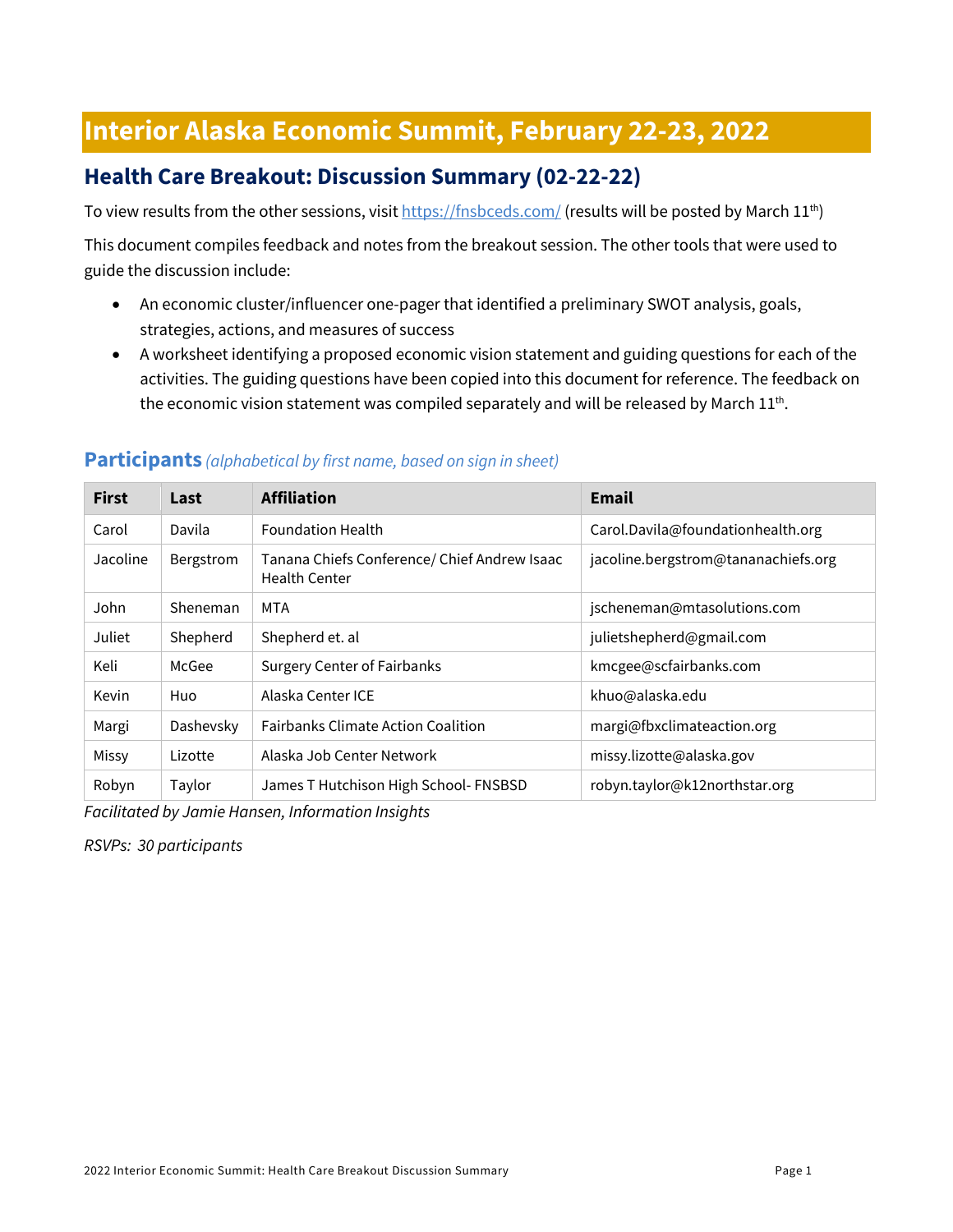# **Interior Alaska Economic Summit, February 22-23, 2022**

# **Health Care Breakout: Discussion Summary (02-22-22)**

To view results from the other sessions, visi[t https://fnsbceds.com/](https://fnsbceds.com/) (results will be posted by March 11<sup>th</sup>)

This document compiles feedback and notes from the breakout session. The other tools that were used to guide the discussion include:

- An economic cluster/influencer one-pager that identified a preliminary SWOT analysis, goals, strategies, actions, and measures of success
- A worksheet identifying a proposed economic vision statement and guiding questions for each of the activities. The guiding questions have been copied into this document for reference. The feedback on the economic vision statement was compiled separately and will be released by March  $11^{th}$ .

| <b>First</b> | Last      | <b>Affiliation</b>                                                   | <b>Email</b>                        |
|--------------|-----------|----------------------------------------------------------------------|-------------------------------------|
| Carol        | Davila    | <b>Foundation Health</b>                                             | Carol.Davila@foundationhealth.org   |
| Jacoline     | Bergstrom | Tanana Chiefs Conference/ Chief Andrew Isaac<br><b>Health Center</b> | jacoline.bergstrom@tananachiefs.org |
| John         | Sheneman  | MTA                                                                  | jscheneman@mtasolutions.com         |
| Juliet       | Shepherd  | Shepherd et. al                                                      | julietshepherd@gmail.com            |
| Keli         | McGee     | <b>Surgery Center of Fairbanks</b>                                   | kmcgee@scfairbanks.com              |
| Kevin        | Huo       | Alaska Center ICE                                                    | khuo@alaska.edu                     |
| Margi        | Dashevsky | <b>Fairbanks Climate Action Coalition</b>                            | margi@fbxclimateaction.org          |
| Missy        | Lizotte   | Alaska Job Center Network                                            | missy.lizotte@alaska.gov            |
| Robyn        | Taylor    | James T Hutchison High School- FNSBSD                                | robyn.taylor@k12northstar.org       |

#### **Participants** *(alphabetical by first name, based on sign in sheet)*

*Facilitated by Jamie Hansen, Information Insights*

*RSVPs: 30 participants*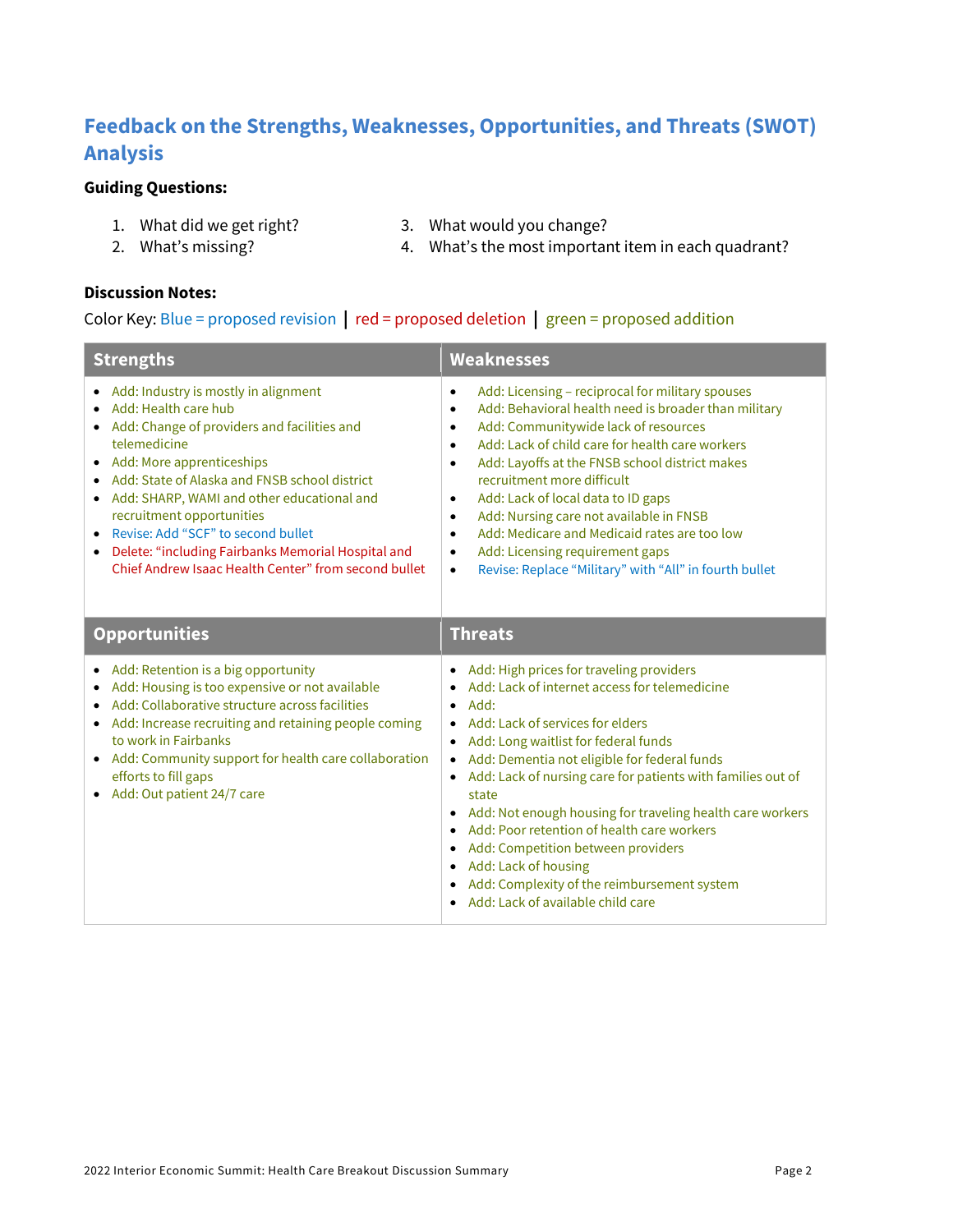# **Feedback on the Strengths, Weaknesses, Opportunities, and Threats (SWOT) Analysis**

#### **Guiding Questions:**

- 
- 2. What's missing?
- 1. What did we get right? 3. What would you change?
- 

4. What's the most important item in each quadrant?

#### **Discussion Notes:**

#### Color Key: Blue = proposed revision **|** red = proposed deletion **|** green = proposed addition

| <b>Strengths</b>                                                                                                                                                                                                                                                                                                                                                                                                                                                                | <b>Weaknesses</b>                                                                                                                                                                                                                                                                                                                                                                                                                                                                                                                                                                                                                                                                       |  |
|---------------------------------------------------------------------------------------------------------------------------------------------------------------------------------------------------------------------------------------------------------------------------------------------------------------------------------------------------------------------------------------------------------------------------------------------------------------------------------|-----------------------------------------------------------------------------------------------------------------------------------------------------------------------------------------------------------------------------------------------------------------------------------------------------------------------------------------------------------------------------------------------------------------------------------------------------------------------------------------------------------------------------------------------------------------------------------------------------------------------------------------------------------------------------------------|--|
| Add: Industry is mostly in alignment<br>Add: Health care hub<br>Add: Change of providers and facilities and<br>$\bullet$<br>telemedicine<br>Add: More apprenticeships<br>Add: State of Alaska and FNSB school district<br>Add: SHARP, WAMI and other educational and<br>$\bullet$<br>recruitment opportunities<br>Revise: Add "SCF" to second bullet<br>$\bullet$<br>Delete: "including Fairbanks Memorial Hospital and<br>Chief Andrew Isaac Health Center" from second bullet | Add: Licensing - reciprocal for military spouses<br>$\bullet$<br>Add: Behavioral health need is broader than military<br>$\bullet$<br>Add: Communitywide lack of resources<br>$\bullet$<br>Add: Lack of child care for health care workers<br>$\bullet$<br>Add: Layoffs at the FNSB school district makes<br>$\bullet$<br>recruitment more difficult<br>Add: Lack of local data to ID gaps<br>$\bullet$<br>Add: Nursing care not available in FNSB<br>$\bullet$<br>Add: Medicare and Medicaid rates are too low<br>$\bullet$<br>Add: Licensing requirement gaps<br>$\bullet$<br>Revise: Replace "Military" with "All" in fourth bullet<br>$\bullet$                                     |  |
| <b>Opportunities</b>                                                                                                                                                                                                                                                                                                                                                                                                                                                            | <b>Threats</b>                                                                                                                                                                                                                                                                                                                                                                                                                                                                                                                                                                                                                                                                          |  |
| Add: Retention is a big opportunity<br>$\bullet$<br>Add: Housing is too expensive or not available<br>Add: Collaborative structure across facilities<br>Add: Increase recruiting and retaining people coming<br>to work in Fairbanks<br>• Add: Community support for health care collaboration<br>efforts to fill gaps<br>Add: Out patient 24/7 care                                                                                                                            | Add: High prices for traveling providers<br>$\bullet$<br>Add: Lack of internet access for telemedicine<br>$\bullet$<br>Add:<br>$\bullet$<br>Add: Lack of services for elders<br>Add: Long waitlist for federal funds<br>$\bullet$<br>Add: Dementia not eligible for federal funds<br>$\bullet$<br>Add: Lack of nursing care for patients with families out of<br>state<br>Add: Not enough housing for traveling health care workers<br>$\bullet$<br>Add: Poor retention of health care workers<br>Add: Competition between providers<br>$\bullet$<br>Add: Lack of housing<br>$\bullet$<br>Add: Complexity of the reimbursement system<br>Add: Lack of available child care<br>$\bullet$ |  |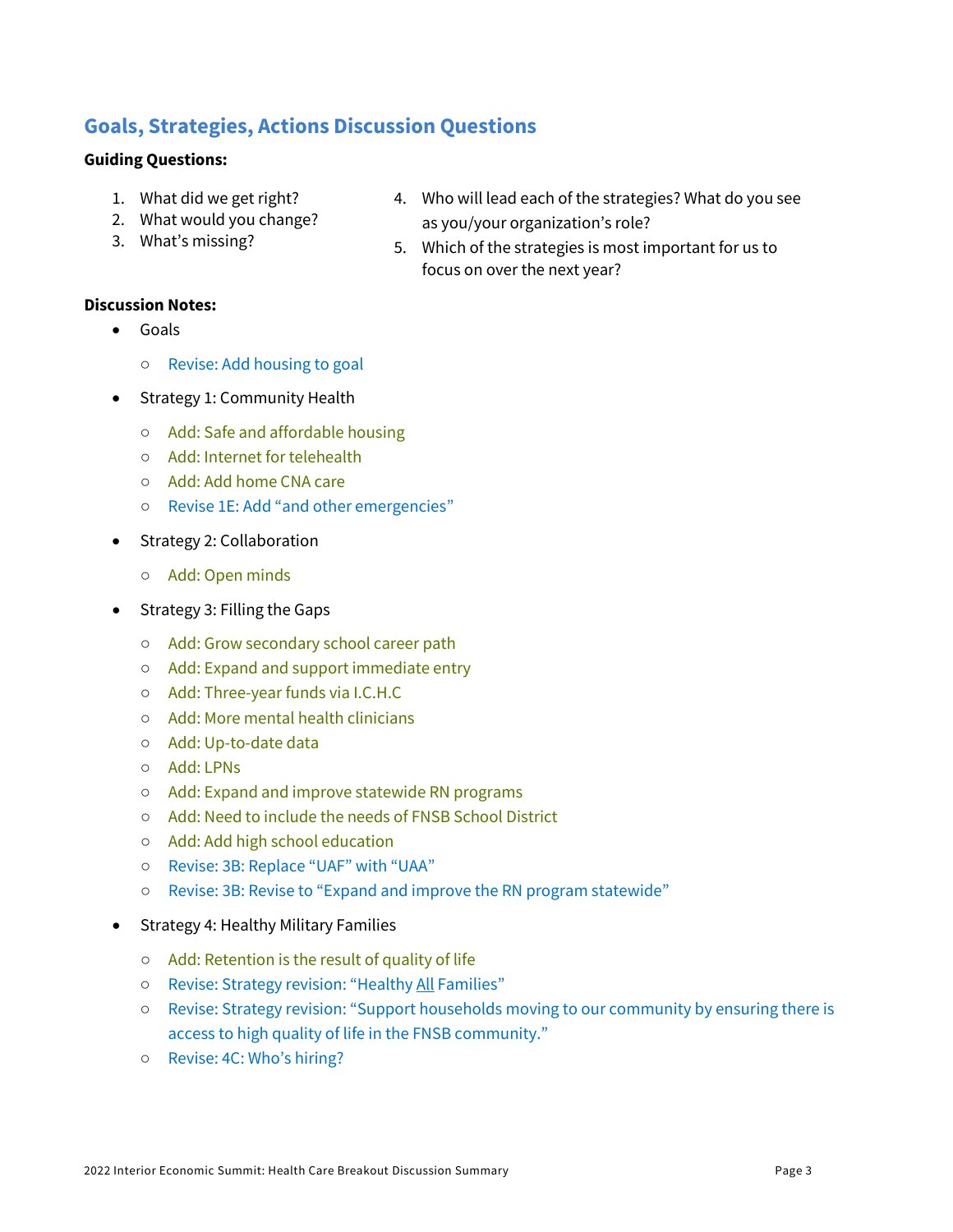### **Goals, Strategies, Actions Discussion Questions**

#### **Guiding Questions:**

- 1. What did we get right?
- 2. What would you change?
- 3. What's missing?
- 4. Who will lead each of the strategies? What do you see as you/your organization's role?
- 5. Which of the strategies is most important for us to focus on over the next year?

#### **Discussion Notes:**

- Goals
	- Revise: Add housing to goal
- Strategy 1: Community Health
	- Add: Safe and affordable housing
	- Add: Internet for telehealth
	- Add: Add home CNA care
	- Revise 1E: Add "and other emergencies"
- Strategy 2: Collaboration
	- Add: Open minds
- Strategy 3: Filling the Gaps
	- Add: Grow secondary school career path
	- Add: Expand and support immediate entry
	- Add: Three-year funds via I.C.H.C
	- Add: More mental health clinicians
	- Add: Up-to-date data
	- Add: LPNs
	- Add: Expand and improve statewide RN programs
	- Add: Need to include the needs of FNSB School District
	- Add: Add high school education
	- Revise: 3B: Replace "UAF" with "UAA"
	- Revise: 3B: Revise to "Expand and improve the RN program statewide"
- Strategy 4: Healthy Military Families
	- Add: Retention is the result of quality of life
	- Revise: Strategy revision: "Healthy All Families"
	- Revise: Strategy revision: "Support households moving to our community by ensuring there is access to high quality of life in the FNSB community."
	- Revise: 4C: Who's hiring?